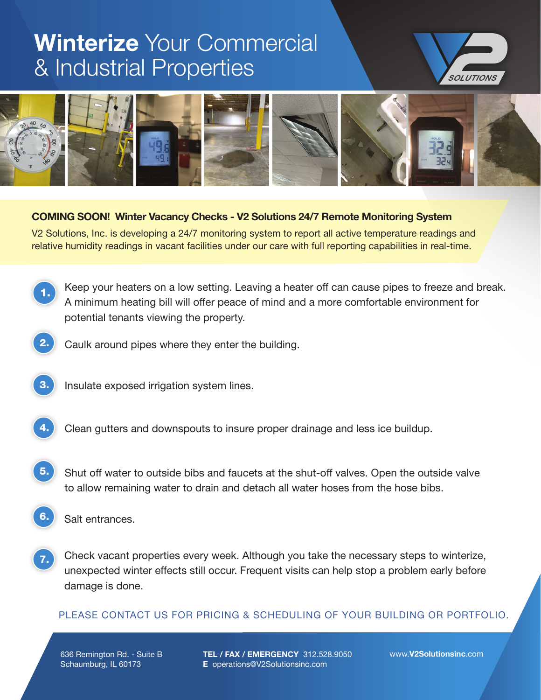## **Winterize** Your Commercial & Industrial Properties





## **COMING SOON! Winter Vacancy Checks - V2 Solutions 24/7 Remote Monitoring System**

V2 Solutions, Inc. is developing a 24/7 monitoring system to report all active temperature readings and relative humidity readings in vacant facilities under our care with full reporting capabilities in real-time.

- Keep your heaters on a low setting. Leaving a heater off can cause pipes to freeze and break. A minimum heating bill will offer peace of mind and a more comfortable environment for potential tenants viewing the property. 1.
	- Caulk around pipes where they enter the building.
- - **3.** Insulate exposed irrigation system lines.
- 

Clean gutters and downspouts to insure proper drainage and less ice buildup.

- Shut off water to outside bibs and faucets at the shut-off valves. Open the outside valve to allow remaining water to drain and detach all water hoses from the hose bibs. 5.
- **6.** Salt entrances.
- Check vacant properties every week. Although you take the necessary steps to winterize, unexpected winter effects still occur. Frequent visits can help stop a problem early before damage is done. 7.

## PLEASE CONTACT US FOR PRICING & SCHEDULING OF YOUR BUILDING OR PORTFOLIO.

636 Remington Rd. - Suite B Schaumburg, IL 60173

**TEL / FAX / EMERGENCY** 312.528.9050 **E** operations@V2Solutionsinc.com

www.**V2Solutionsinc**.com